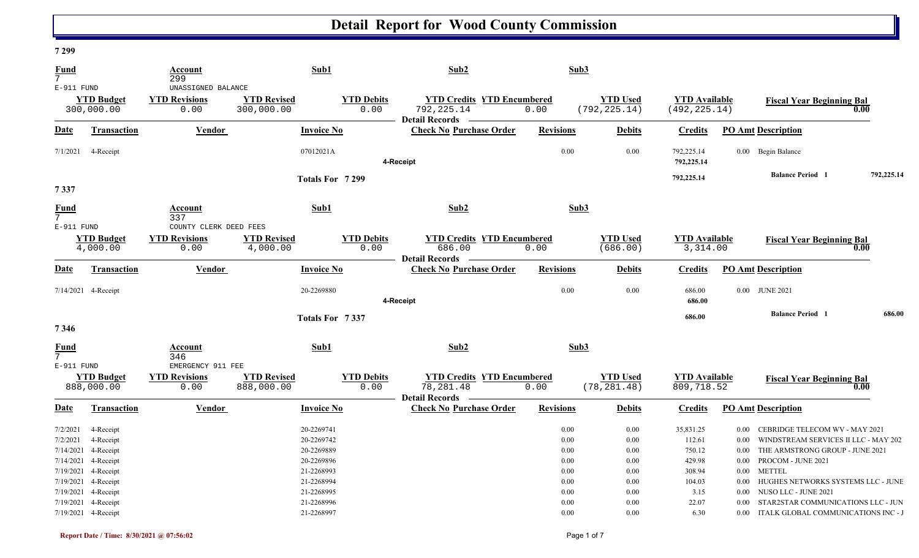### **7 299**

| <b>Fund</b><br>$\overline{7}$<br>$E-911$ FUND               |                                                                                | <b>Account</b><br>299<br>UNASSIGNED BALANCE            |                                  | Sub1                                                               | Sub2                                                                    | Sub3                                     |                                      |                                                   |                                                      |                                                                                                                                                  |            |
|-------------------------------------------------------------|--------------------------------------------------------------------------------|--------------------------------------------------------|----------------------------------|--------------------------------------------------------------------|-------------------------------------------------------------------------|------------------------------------------|--------------------------------------|---------------------------------------------------|------------------------------------------------------|--------------------------------------------------------------------------------------------------------------------------------------------------|------------|
|                                                             | <b>YTD Budget</b><br>300,000.00                                                | <b>YTD Revisions</b><br>0.00                           | <b>YTD Revised</b><br>300,000.00 | <b>YTD Debits</b><br>0.00                                          | <b>YTD Credits YTD Encumbered</b><br>792, 225.14<br>Detail Records —    | 0.00                                     | <b>YTD Used</b><br>(792, 225.14)     | <b>YTD Available</b><br>(492, 225.14)             |                                                      | <b>Fiscal Year Beginning Bal</b>                                                                                                                 | 0.00       |
| Date                                                        | Transaction                                                                    | <b>Vendor</b>                                          |                                  | <b>Invoice No</b>                                                  | <b>Check No Purchase Order</b>                                          | <b>Revisions</b>                         | <b>Debits</b>                        | <b>Credits</b>                                    |                                                      | <b>PO Amt Description</b>                                                                                                                        |            |
| 7/1/2021                                                    | 4-Receipt                                                                      |                                                        |                                  | 07012021A                                                          | 4-Receipt                                                               | 0.00                                     | 0.00                                 | 792,225.14<br>792,225.14                          |                                                      | 0.00 Begin Balance                                                                                                                               |            |
| 7337                                                        |                                                                                |                                                        |                                  | Totals For 7299                                                    |                                                                         |                                          |                                      | 792,225.14                                        |                                                      | <b>Balance Period</b> 1                                                                                                                          | 792,225.14 |
| <b>Fund</b><br>$\overline{7}$                               |                                                                                | Account<br>337                                         |                                  | Sub1                                                               | Sub2                                                                    | Sub3                                     |                                      |                                                   |                                                      |                                                                                                                                                  |            |
| $E-911$ FUND                                                | <b>YTD Budget</b><br>4,000.00                                                  | COUNTY CLERK DEED FEES<br><b>YTD Revisions</b><br>0.00 | <b>YTD Revised</b><br>4,000.00   | <b>YTD Debits</b><br>0.00                                          | <b>YTD Credits YTD Encumbered</b><br>686.00<br><b>Detail Records</b>    | 0.00                                     | <b>YTD Used</b><br>(686.00)          | <b>YTD Available</b><br>3,314.00                  |                                                      | <b>Fiscal Year Beginning Bal</b>                                                                                                                 | 0.00       |
| Date                                                        | <b>Transaction</b>                                                             | Vendor                                                 |                                  | <b>Invoice No</b>                                                  | <b>Check No Purchase Order</b>                                          | <b>Revisions</b>                         | <b>Debits</b>                        | <b>Credits</b>                                    |                                                      | <b>PO Amt Description</b>                                                                                                                        |            |
|                                                             | 7/14/2021 4-Receipt                                                            |                                                        |                                  | 20-2269880                                                         | 4-Receipt                                                               | 0.00                                     | 0.00                                 | 686.00<br>686.00                                  |                                                      | 0.00 JUNE 2021                                                                                                                                   |            |
| 7346                                                        |                                                                                |                                                        |                                  | Totals For 7337                                                    |                                                                         |                                          |                                      | 686.00                                            |                                                      | <b>Balance Period</b> 1                                                                                                                          | 686.00     |
| <b>Fund</b><br>7<br>E-911 FUND                              |                                                                                | <b>Account</b><br>346<br>EMERGENCY 911 FEE             |                                  | Sub1                                                               | Sub2                                                                    | Sub3                                     |                                      |                                                   |                                                      |                                                                                                                                                  |            |
|                                                             | <b>YTD Budget</b><br>888,000.00                                                | <b>YTD Revisions</b><br>0.00                           | <b>YTD Revised</b><br>888,000.00 | <b>YTD Debits</b><br>0.00                                          | <b>YTD Credits YTD Encumbered</b><br>78,281.48<br><b>Detail Records</b> | 0.00                                     | <b>YTD Used</b><br>(78, 281.48)      | <b>YTD Available</b><br>809,718.52                |                                                      | <b>Fiscal Year Beginning Bal</b>                                                                                                                 | 0.00       |
| Date                                                        | Transaction                                                                    | Vendor                                                 |                                  | <b>Invoice No</b>                                                  | <b>Check No Purchase Order</b>                                          | <b>Revisions</b>                         | <b>Debits</b>                        | <b>Credits</b>                                    |                                                      | <b>PO Amt Description</b>                                                                                                                        |            |
| 7/2/2021<br>7/2/2021<br>7/14/2021<br>7/14/2021<br>7/19/2021 | 4-Receipt<br>4-Receipt<br>4-Receipt<br>4-Receipt<br>4-Receipt                  |                                                        |                                  | 20-2269741<br>20-2269742<br>20-2269889<br>20-2269896<br>21-2268993 |                                                                         | 0.00<br>0.00<br>0.00<br>$0.00\,$<br>0.00 | 0.00<br>0.00<br>0.00<br>0.00<br>0.00 | 35,831.25<br>112.61<br>750.12<br>429.98<br>308.94 | $0.00\,$<br>$0.00\,$<br>$0.00\,$<br>$0.00\,$<br>0.00 | CEBRIDGE TELECOM WV - MAY 2021<br>WINDSTREAM SERVICES II LLC - MAY 202<br>THE ARMSTRONG GROUP - JUNE 2021<br>PROCOM - JUNE 2021<br><b>METTEL</b> |            |
| 7/19/2021                                                   | 7/19/2021 4-Receipt<br>7/19/2021 4-Receipt<br>4-Receipt<br>7/19/2021 4-Receipt |                                                        |                                  | 21-2268994<br>21-2268995<br>21-2268996<br>21-2268997               |                                                                         | 0.00<br>0.00<br>0.00<br>0.00             | 0.00<br>0.00<br>0.00<br>0.00         | 104.03<br>3.15<br>22.07<br>6.30                   | $0.00\,$<br>$0.00\,$<br>0.00                         | HUGHES NETWORKS SYSTEMS LLC - JUNE<br>NUSO LLC - JUNE 2021<br>STAR2STAR COMMUNICATIONS LLC - JUN<br>0.00 ITALK GLOBAL COMMUNICATIONS INC - J     |            |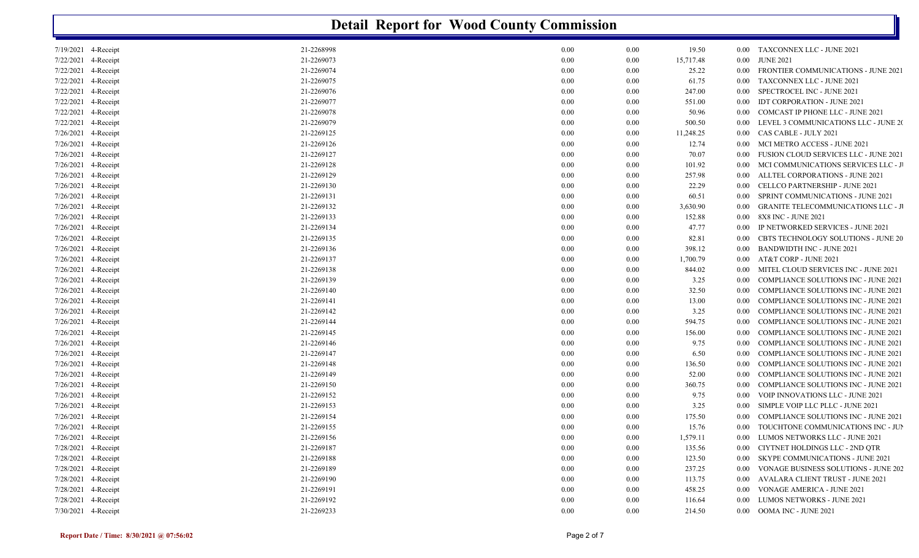|                        | <b>Detail Report for Wood County Commission</b> |                          |              |                         |              |                                                                                            |  |  |  |  |  |
|------------------------|-------------------------------------------------|--------------------------|--------------|-------------------------|--------------|--------------------------------------------------------------------------------------------|--|--|--|--|--|
| 7/19/2021 4-Receipt    |                                                 | 21-2268998               | 0.00         | 0.00<br>19.50           |              | 0.00 TAXCONNEX LLC - JUNE 2021                                                             |  |  |  |  |  |
| 7/22/2021              | 4-Receipt                                       | 21-2269073               | 0.00         | 15,717.48<br>0.00       | $0.00\,$     | <b>JUNE 2021</b>                                                                           |  |  |  |  |  |
| 7/22/2021              | 4-Receipt                                       | 21-2269074               | 0.00         | 0.00<br>25.22           | 0.00         | <b>FRONTIER COMMUNICATIONS - JUNE 2021</b>                                                 |  |  |  |  |  |
| 7/22/2021              | 4-Receipt                                       | 21-2269075               | 0.00         | 0.00<br>61.75           | $0.00\,$     | TAXCONNEX LLC - JUNE 2021                                                                  |  |  |  |  |  |
| 7/22/2021              | 4-Receipt                                       | 21-2269076               | 0.00         | 0.00<br>247.00          | 0.00         | SPECTROCEL INC - JUNE 2021                                                                 |  |  |  |  |  |
| 7/22/2021              | 4-Receipt                                       | 21-2269077               | 0.00         | 0.00<br>551.00          | 0.00         | <b>IDT CORPORATION - JUNE 2021</b>                                                         |  |  |  |  |  |
| 7/22/2021              | 4-Receipt                                       | 21-2269078               | 0.00         | 0.00<br>50.96           | 0.00         | COMCAST IP PHONE LLC - JUNE 2021                                                           |  |  |  |  |  |
| 7/22/2021              | 4-Receipt                                       | 21-2269079               | 0.00         | 0.00<br>500.50          | 0.00         | LEVEL 3 COMMUNICATIONS LLC - JUNE 20                                                       |  |  |  |  |  |
| 7/26/2021              | 4-Receipt                                       | 21-2269125               | 0.00         | 0.00<br>11,248.25       | 0.00         | CAS CABLE - JULY 2021                                                                      |  |  |  |  |  |
| 7/26/2021              | 4-Receipt                                       | 21-2269126               | 0.00         | 0.00<br>12.74           | 0.00         | MCI METRO ACCESS - JUNE 2021                                                               |  |  |  |  |  |
| 7/26/2021              | 4-Receipt                                       | 21-2269127               | 0.00         | 0.00<br>70.07           | 0.00         | FUSION CLOUD SERVICES LLC - JUNE 2021                                                      |  |  |  |  |  |
| 7/26/2021              | 4-Receipt                                       | 21-2269128               | 0.00         | 0.00<br>101.92          | $0.00\,$     | MCI COMMUNICATIONS SERVICES LLC - J                                                        |  |  |  |  |  |
| 7/26/2021              | 4-Receipt                                       | 21-2269129               | 0.00         | 0.00<br>257.98          | $0.00\,$     | ALLTEL CORPORATIONS - JUNE 2021                                                            |  |  |  |  |  |
| 7/26/2021              | 4-Receipt                                       | 21-2269130               | 0.00         | 0.00<br>22.29           | 0.00         | CELLCO PARTNERSHIP - JUNE 2021                                                             |  |  |  |  |  |
| 7/26/2021              | 4-Receipt                                       | 21-2269131               | 0.00         | 0.00<br>60.51           | 0.00         | SPRINT COMMUNICATIONS - JUNE 2021                                                          |  |  |  |  |  |
| 7/26/2021              | 4-Receipt                                       | 21-2269132               | 0.00         | 3,630.90<br>0.00        | 0.00         | <b>GRANITE TELECOMMUNICATIONS LLC - JI</b>                                                 |  |  |  |  |  |
| 7/26/2021              | 4-Receipt                                       | 21-2269133               | 0.00         | 0.00<br>152.88          | 0.00         | 8X8 INC - JUNE 2021                                                                        |  |  |  |  |  |
| 7/26/2021              | 4-Receipt                                       | 21-2269134               | 0.00         | 0.00<br>47.77           | 0.00         | IP NETWORKED SERVICES - JUNE 2021                                                          |  |  |  |  |  |
| 7/26/2021              | 4-Receipt                                       | 21-2269135               | 0.00         | 0.00<br>82.81           | 0.00         | CBTS TECHNOLOGY SOLUTIONS - JUNE 20                                                        |  |  |  |  |  |
| 7/26/2021              | 4-Receipt                                       | 21-2269136               | 0.00         | 398.12<br>0.00          | 0.00         | <b>BANDWIDTH INC - JUNE 2021</b>                                                           |  |  |  |  |  |
| 7/26/2021              | 4-Receipt                                       | 21-2269137               | 0.00         | 1,700.79<br>0.00        | 0.00         | AT&T CORP - JUNE 2021                                                                      |  |  |  |  |  |
| 7/26/2021              | 4-Receipt                                       | 21-2269138               | 0.00         | 0.00<br>844.02          | 0.00         | MITEL CLOUD SERVICES INC - JUNE 2021<br><b>COMPLIANCE SOLUTIONS INC - JUNE 2021</b>        |  |  |  |  |  |
| 7/26/2021              | 4-Receipt                                       | 21-2269139               | 0.00         | 0.00<br>3.25            | 0.00         |                                                                                            |  |  |  |  |  |
| 7/26/2021              | 4-Receipt                                       | 21-2269140               | 0.00         | 0.00<br>32.50           | $0.00\,$     | COMPLIANCE SOLUTIONS INC - JUNE 2021                                                       |  |  |  |  |  |
| 7/26/2021<br>7/26/2021 | 4-Receipt                                       | 21-2269141               | 0.00         | 0.00<br>13.00           | 0.00         | <b>COMPLIANCE SOLUTIONS INC - JUNE 2021</b><br>COMPLIANCE SOLUTIONS INC - JUNE 2021        |  |  |  |  |  |
|                        | 4-Receipt                                       | 21-2269142               | 0.00         | 0.00<br>3.25            | 0.00         |                                                                                            |  |  |  |  |  |
| 7/26/2021              | 4-Receipt                                       | 21-2269144               | 0.00         | 0.00<br>594.75          | 0.00         | <b>COMPLIANCE SOLUTIONS INC - JUNE 2021</b>                                                |  |  |  |  |  |
| 7/26/2021<br>7/26/2021 | 4-Receipt                                       | 21-2269145               | 0.00         | 0.00<br>156.00          | 0.00<br>0.00 | <b>COMPLIANCE SOLUTIONS INC - JUNE 2021</b><br><b>COMPLIANCE SOLUTIONS INC - JUNE 2021</b> |  |  |  |  |  |
| 7/26/2021              | 4-Receipt                                       | 21-2269146               | 0.00         | 0.00<br>9.75            |              |                                                                                            |  |  |  |  |  |
| 7/26/2021              | 4-Receipt<br>4-Receipt                          | 21-2269147<br>21-2269148 | 0.00<br>0.00 | 0.00<br>6.50<br>0.00    | 0.00<br>0.00 | <b>COMPLIANCE SOLUTIONS INC - JUNE 2021</b><br><b>COMPLIANCE SOLUTIONS INC - JUNE 2021</b> |  |  |  |  |  |
| 7/26/2021              | 4-Receipt                                       | 21-2269149               | 0.00         | 136.50<br>0.00<br>52.00 | 0.00         | <b>COMPLIANCE SOLUTIONS INC - JUNE 2021</b>                                                |  |  |  |  |  |
| 7/26/2021              | 4-Receipt                                       | 21-2269150               | 0.00         | 0.00<br>360.75          | 0.00         | <b>COMPLIANCE SOLUTIONS INC - JUNE 2021</b>                                                |  |  |  |  |  |
| 7/26/2021              | 4-Receipt                                       | 21-2269152               | 0.00         | 0.00<br>9.75            | 0.00         | VOIP INNOVATIONS LLC - JUNE 2021                                                           |  |  |  |  |  |
| 7/26/2021              | 4-Receipt                                       | 21-2269153               | 0.00         | 0.00<br>3.25            | 0.00         | SIMPLE VOIP LLC PLLC - JUNE 2021                                                           |  |  |  |  |  |
| 7/26/2021 4-Receipt    |                                                 | 21-2269154               | 0.00         | 0.00<br>175.50          |              | 0.00 COMPLIANCE SOLUTIONS INC - JUNE 2021                                                  |  |  |  |  |  |
| $7/26/2021$ 4-Receipt  |                                                 | 21-2269155               | 0.00         | 0.00<br>15.76           |              | 0.00 TOUCHTONE COMMUNICATIONS INC - JUI                                                    |  |  |  |  |  |
| 7/26/2021 4-Receipt    |                                                 | 21-2269156               | $0.00\,$     | 1,579.11<br>0.00        |              | 0.00 LUMOS NETWORKS LLC - JUNE 2021                                                        |  |  |  |  |  |
| 7/28/2021 4-Receipt    |                                                 | 21-2269187               | 0.00         | 135.56<br>0.00          |              | 0.00 CIYTNET HOLDINGS LLC - 2ND OTR                                                        |  |  |  |  |  |
| 7/28/2021 4-Receipt    |                                                 | 21-2269188               | $0.00\,$     | 0.00<br>123.50          | $0.00\,$     | SKYPE COMMUNICATIONS - JUNE 2021                                                           |  |  |  |  |  |
| 7/28/2021 4-Receipt    |                                                 | 21-2269189               | 0.00         | 237.25<br>0.00          | $0.00\,$     | <b>VONAGE BUSINESS SOLUTIONS - JUNE 202</b>                                                |  |  |  |  |  |
| 7/28/2021 4-Receipt    |                                                 | 21-2269190               |              |                         |              |                                                                                            |  |  |  |  |  |
|                        |                                                 |                          | 0.00         | 0.00<br>113.75          | $0.00\,$     | AVALARA CLIENT TRUST - JUNE 2021                                                           |  |  |  |  |  |
| 7/28/2021 4-Receipt    |                                                 | 21-2269191               | $0.00\,$     | 0.00<br>458.25          | $0.00\,$     | VONAGE AMERICA - JUNE 2021                                                                 |  |  |  |  |  |
| 7/28/2021 4-Receipt    |                                                 | 21-2269192               | $0.00\,$     | 0.00<br>116.64          | $0.00\,$     | LUMOS NETWORKS - JUNE 2021                                                                 |  |  |  |  |  |
| 7/30/2021 4-Receipt    |                                                 | 21-2269233               | $0.00\,$     | 214.50<br>0.00          |              | 0.00 OOMA INC - JUNE 2021                                                                  |  |  |  |  |  |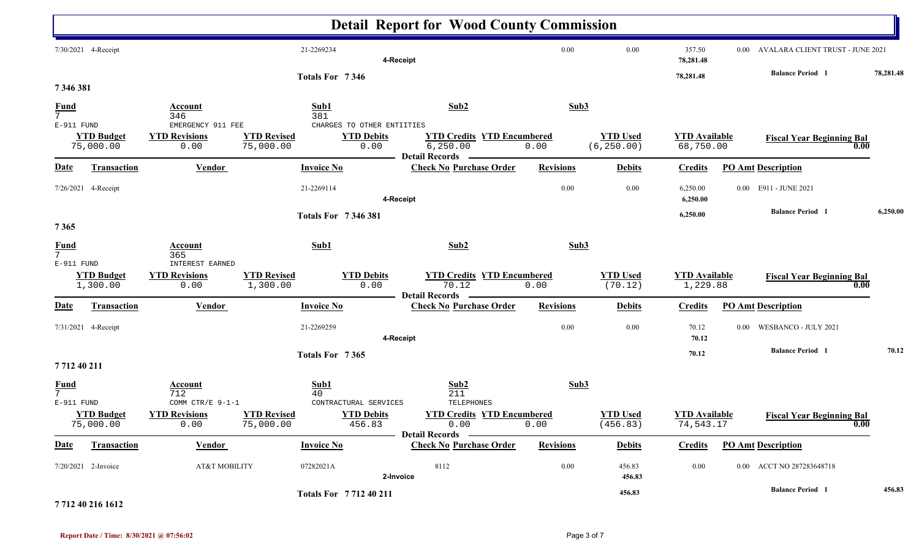|                                |                                |                                                   |                                 |                                                         | <b>Detail Report for Wood County Commission</b>                         |                  |                                |                                   |      |                                                                  |           |
|--------------------------------|--------------------------------|---------------------------------------------------|---------------------------------|---------------------------------------------------------|-------------------------------------------------------------------------|------------------|--------------------------------|-----------------------------------|------|------------------------------------------------------------------|-----------|
|                                | 7/30/2021 4-Receipt            |                                                   | 21-2269234                      | 4-Receipt                                               |                                                                         | 0.00             | 0.00                           | 357.50<br>78,281.48               |      | 0.00 AVALARA CLIENT TRUST - JUNE 2021<br><b>Balance Period</b> 1 | 78,281.48 |
| 7346381                        |                                |                                                   |                                 | Totals For 7346                                         |                                                                         |                  |                                | 78,281.48                         |      |                                                                  |           |
| $\frac{Fund}{7}$               |                                | Account<br>346                                    | Sub1<br>381                     |                                                         | Sub2                                                                    | Sub3             |                                |                                   |      |                                                                  |           |
| E-911 FUND                     | <b>YTD Budget</b><br>75,000.00 | EMERGENCY 911 FEE<br><b>YTD Revisions</b><br>0.00 | <b>YTD Revised</b><br>75,000.00 | CHARGES TO OTHER ENTIITIES<br><b>YTD Debits</b><br>0.00 | <b>YTD Credits YTD Encumbered</b><br>6, 250.00<br><b>Detail Records</b> | 0.00             | <b>YTD Used</b><br>(6, 250.00) | <b>YTD</b> Available<br>68,750.00 |      | <b>Fiscal Year Beginning Bal</b><br>0.00                         |           |
| <b>Date</b>                    | Transaction                    | <b>Vendor</b>                                     | <b>Invoice No</b>               |                                                         | <b>Check No Purchase Order</b>                                          | <b>Revisions</b> | <b>Debits</b>                  | <b>Credits</b>                    |      | <b>PO Amt Description</b>                                        |           |
|                                | 7/26/2021 4-Receipt            |                                                   | 21-2269114                      | 4-Receipt                                               |                                                                         | 0.00             | $0.00\,$                       | 6,250.00<br>6,250.00              |      | 0.00 E911 - JUNE 2021                                            |           |
| 7365                           |                                |                                                   |                                 | <b>Totals For 7346381</b>                               |                                                                         |                  |                                | 6,250.00                          |      | <b>Balance Period</b> 1                                          | 6,250.00  |
| $\frac{Fund}{7}$<br>E-911 FUND |                                | <b>Account</b><br>365<br><b>INTEREST EARNED</b>   | Sub1                            |                                                         | Sub2                                                                    | Sub3             |                                |                                   |      |                                                                  |           |
|                                | <b>YTD Budget</b><br>1,300.00  | <b>YTD Revisions</b><br>0.00                      | <b>YTD Revised</b><br>1,300.00  | <b>YTD Debits</b><br>0.00                               | <b>YTD Credits YTD Encumbered</b><br>70.12<br><b>Detail Records</b>     | 0.00             | <b>YTD Used</b><br>(70.12)     | <b>YTD Available</b><br>1,229.88  |      | <b>Fiscal Year Beginning Bal</b><br>0.00                         |           |
| <b>Date</b>                    | <b>Transaction</b>             | <b>Vendor</b>                                     | <b>Invoice No</b>               |                                                         | <b>Check No Purchase Order</b>                                          | <b>Revisions</b> | <b>Debits</b>                  | <b>Credits</b>                    |      | <b>PO Amt Description</b>                                        |           |
|                                | 7/31/2021 4-Receipt            |                                                   | 21-2269259                      | 4-Receipt                                               |                                                                         | 0.00             | 0.00                           | 70.12<br>70.12                    | 0.00 | WESBANCO - JULY 2021                                             |           |
| 771240211                      |                                |                                                   |                                 | Totals For 7365                                         |                                                                         |                  |                                | 70.12                             |      | <b>Balance Period</b> 1                                          | 70.12     |
| $\frac{Fund}{7}$<br>E-911 FUND |                                | Account<br>712<br>COMM CTR/E 9-1-1                | Sub1<br>40                      | CONTRACTURAL SERVICES                                   | Sub2<br>211<br>TELEPHONES                                               | Sub3             |                                |                                   |      |                                                                  |           |
|                                | <b>YTD Budget</b><br>75,000.00 | <b>YTD Revisions</b><br>0.00                      | <b>YTD Revised</b><br>75,000.00 | <b>YTD Debits</b><br>456.83                             | <b>YTD Credits YTD Encumbered</b><br>0.00                               | 0.00             | <b>YTD Used</b><br>(456.83)    | <b>YTD</b> Available<br>74,543.17 |      | <b>Fiscal Year Beginning Bal</b><br>0.00                         |           |
| <b>Date</b>                    | Transaction                    | <b>Vendor</b>                                     | <b>Invoice No</b>               |                                                         | Detail Records —<br><b>Check No Purchase Order</b>                      | <b>Revisions</b> | <b>Debits</b>                  | <b>Credits</b>                    |      | <b>PO Amt Description</b>                                        |           |
|                                | 7/20/2021 2-Invoice            | AT&T MOBILITY                                     | 07282021A                       | 2-Invoice                                               | 8112                                                                    | 0.00             | 456.83<br>456.83               | 0.00                              |      | 0.00 ACCT NO 287283648718                                        |           |
|                                | 7712.40.216.1612               |                                                   |                                 | Totals For 771240211                                    |                                                                         |                  | 456.83                         |                                   |      | <b>Balance Period</b> 1                                          | 456.83    |

**7 712 40 216 1612**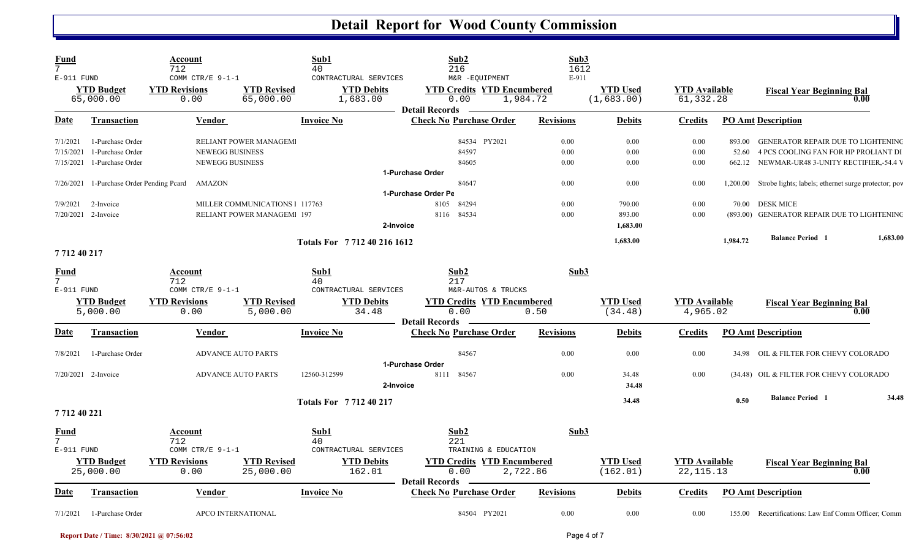| Fund<br>$7\overline{ }$<br>E-911 FUND |                                | Account<br>712<br>COMM CTR/E 9-1-1              |                                  | Sub1<br>40<br>CONTRACTURAL SERVICES | Sub <sub>2</sub><br>216<br>M&R -EQUIPMENT                          |                      | Sub3<br>1612<br>E-911 |                               |                                     |          |                                                               |          |
|---------------------------------------|--------------------------------|-------------------------------------------------|----------------------------------|-------------------------------------|--------------------------------------------------------------------|----------------------|-----------------------|-------------------------------|-------------------------------------|----------|---------------------------------------------------------------|----------|
|                                       | <b>YTD Budget</b><br>65,000.00 | <b>YTD Revisions</b><br>0.00                    | <b>YTD Revised</b><br>65,000.00  | <b>YTD Debits</b><br>1,683.00       | <b>YTD Credits YTD Encumbered</b><br>0.00<br><b>Detail Records</b> | 1,984.72             |                       | <b>YTD Used</b><br>(1,683.00) | <b>YTD</b> Available<br>61,332.28   |          | <b>Fiscal Year Beginning Bal</b>                              | 0.00     |
| Date                                  | <b>Transaction</b>             | <b>Vendor</b>                                   |                                  | Invoice No                          | <b>Check No Purchase Order</b>                                     |                      | <b>Revisions</b>      | <b>Debits</b>                 | <b>Credits</b>                      |          | <b>PO Amt Description</b>                                     |          |
| 7/1/2021                              | 1-Purchase Order               |                                                 | RELIANT POWER MANAGEM            |                                     |                                                                    | 84534 PY2021         | 0.00                  | 0.00                          | 0.00                                | 893.00   | <b>GENERATOR REPAIR DUE TO LIGHTENING</b>                     |          |
| 7/15/2021                             | 1-Purchase Order               | <b>NEWEGG BUSINESS</b>                          |                                  |                                     | 84597                                                              |                      | 0.00                  | 0.00                          | 0.00                                | 52.60    | 4 PCS COOLING FAN FOR HP PROLIANT DI                          |          |
| 7/15/2021                             | 1-Purchase Order               | <b>NEWEGG BUSINESS</b>                          |                                  |                                     | 84605                                                              |                      | 0.00                  | 0.00                          | 0.00                                | 662.12   | NEWMAR-UR48 3-UNITY RECTIFIER,-54.4 V                         |          |
|                                       |                                |                                                 |                                  |                                     | 1-Purchase Order                                                   |                      |                       |                               |                                     |          |                                                               |          |
|                                       |                                | 7/26/2021 1-Purchase Order Pending Pcard AMAZON |                                  |                                     | 84647                                                              |                      | 0.00                  | 0.00                          | 0.00                                |          | 1,200.00 Strobe lights; labels; ethernet surge protector; pov |          |
|                                       |                                |                                                 |                                  |                                     | 1-Purchase Order Pe                                                |                      |                       |                               |                                     |          |                                                               |          |
| 7/9/2021                              | 2-Invoice                      |                                                 | MILLER COMMUNICATIONS 1 117763   |                                     | 84294<br>8105                                                      |                      | 0.00                  | 790.00                        | 0.00                                | 70.00    | <b>DESK MICE</b>                                              |          |
|                                       | $7/20/2021$ 2-Invoice          |                                                 | <b>RELIANT POWER MANAGEM 197</b> |                                     | 8116 84534                                                         |                      | 0.00                  | 893.00                        | 0.00                                |          | (893.00) GENERATOR REPAIR DUE TO LIGHTENING                   |          |
|                                       |                                |                                                 |                                  |                                     | 2-Invoice                                                          |                      |                       | 1,683.00                      |                                     |          |                                                               |          |
|                                       |                                |                                                 |                                  | Totals For 7712402161612            |                                                                    |                      |                       | 1,683.00                      |                                     | 1,984.72 | <b>Balance Period 1</b>                                       | 1,683.00 |
| 771240217                             |                                |                                                 |                                  |                                     |                                                                    |                      |                       |                               |                                     |          |                                                               |          |
| Fund<br>$7^{\circ}$                   |                                | Account<br>712                                  |                                  | Sub1<br>40                          | Sub2                                                               |                      | Sub3                  |                               |                                     |          |                                                               |          |
| E-911 FUND                            |                                | COMM CTR/E $9-1-1$                              |                                  | CONTRACTURAL SERVICES               | 217                                                                | M&R-AUTOS & TRUCKS   |                       |                               |                                     |          |                                                               |          |
|                                       | <b>YTD Budget</b>              | <b>YTD Revisions</b>                            | <b>YTD Revised</b>               | <b>YTD Debits</b>                   | <b>YTD Credits YTD Encumbered</b>                                  |                      |                       | <b>YTD Used</b>               | <b>YTD</b> Available                |          | <b>Fiscal Year Beginning Bal</b>                              |          |
|                                       | 5,000.00                       | 0.00                                            | 5,000.00                         | 34.48                               | 0.00                                                               |                      | 0.50                  | (34.48)                       | 4,965.02                            |          |                                                               | 0.00     |
|                                       |                                |                                                 |                                  |                                     | <b>Detail Records</b>                                              |                      |                       |                               |                                     |          |                                                               |          |
| Date                                  | Transaction                    | <b>Vendor</b>                                   |                                  | <b>Invoice No</b>                   | <b>Check No Purchase Order</b>                                     |                      | <b>Revisions</b>      | <b>Debits</b>                 | <b>Credits</b>                      |          | <b>PO Amt Description</b>                                     |          |
| 7/8/2021                              | 1-Purchase Order               | <b>ADVANCE AUTO PARTS</b>                       |                                  |                                     | 84567                                                              |                      | 0.00                  | 0.00                          | 0.00                                |          | 34.98 OIL & FILTER FOR CHEVY COLORADO                         |          |
|                                       |                                |                                                 |                                  |                                     | 1-Purchase Order                                                   |                      |                       |                               |                                     |          |                                                               |          |
|                                       | 7/20/2021 2-Invoice            | <b>ADVANCE AUTO PARTS</b>                       |                                  | 12560-312599                        | 8111<br>84567<br>2-Invoice                                         |                      | 0.00                  | 34.48<br>34.48                | 0.00                                |          | (34.48) OIL & FILTER FOR CHEVY COLORADO                       |          |
|                                       |                                |                                                 |                                  | Totals For 771240217                |                                                                    |                      |                       | 34.48                         |                                     | 0.50     | <b>Balance Period 1</b>                                       | 34.48    |
| 771240221                             |                                |                                                 |                                  |                                     |                                                                    |                      |                       |                               |                                     |          |                                                               |          |
| Fund                                  |                                | Account                                         |                                  | Sub1                                | Sub <sub>2</sub>                                                   |                      | Sub3                  |                               |                                     |          |                                                               |          |
| $\overline{7}$<br>$E-911$ FUND        |                                | 712<br>COMM CTR/E 9-1-1                         |                                  | 40<br>CONTRACTURAL SERVICES         | 221                                                                | TRAINING & EDUCATION |                       |                               |                                     |          |                                                               |          |
|                                       |                                | <b>YTD Revisions</b>                            |                                  |                                     | <b>YTD Credits YTD Encumbered</b>                                  |                      |                       | <b>YTD Used</b>               |                                     |          |                                                               |          |
|                                       | <b>YTD</b> Budget<br>25,000.00 | 0.00                                            | <b>YTD Revised</b><br>25,000.00  | <b>YTD Debits</b><br>162.01         | 0.00                                                               | 2,722.86             |                       | (162.01)                      | <b>YTD</b> Available<br>22, 115. 13 |          | <b>Fiscal Year Beginning Bal</b>                              | 0.00     |
| <u>Date</u>                           | Transaction                    | Vendor                                          |                                  | <b>Invoice No</b>                   | <b>Detail Records</b><br><b>Check No Purchase Order</b>            |                      | <b>Revisions</b>      | Debits                        | <b>Credits</b>                      |          | <b>PO Amt Description</b>                                     |          |
| 7/1/2021                              | 1-Purchase Order               | APCO INTERNATIONAL                              |                                  |                                     |                                                                    | 84504 PY2021         | 0.00                  | 0.00                          | 0.00                                |          | 155.00 Recertifications: Law Enf Comm Officer; Comm           |          |

**Report Date / Time: 8/30/2021 @ 07:56:02** Page 4 of 7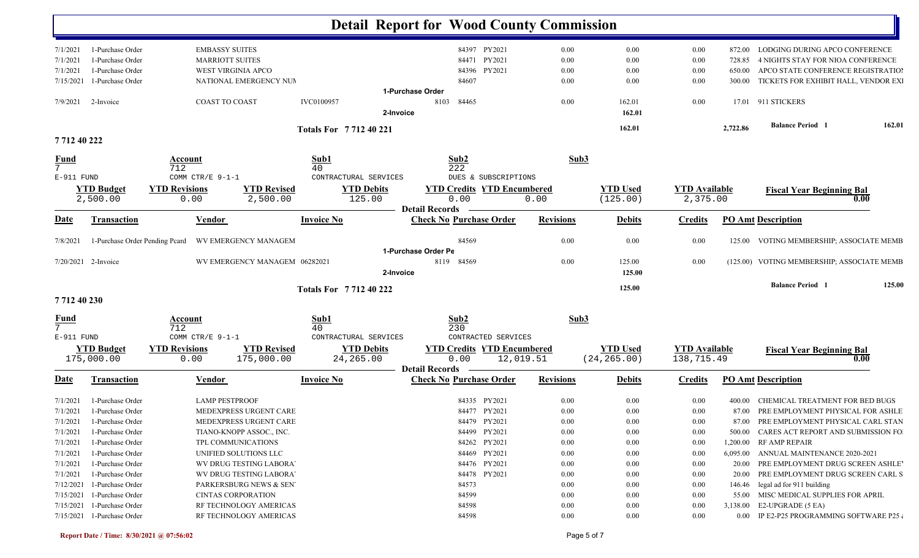|                                |                                                        |                                            |                               |                             | <b>Detail Report for Wood County Commission</b> |                  |                  |                      |                                         |                                            |        |
|--------------------------------|--------------------------------------------------------|--------------------------------------------|-------------------------------|-----------------------------|-------------------------------------------------|------------------|------------------|----------------------|-----------------------------------------|--------------------------------------------|--------|
| 7/1/2021                       | 1-Purchase Order                                       | <b>EMBASSY SUITES</b>                      |                               |                             | 84397 PY2021                                    | $0.00\,$         | 0.00             | 0.00                 | 872.00                                  | LODGING DURING APCO CONFERENCE             |        |
| 7/1/2021                       | 1-Purchase Order                                       | <b>MARRIOTT SUITES</b>                     |                               | 84471 PY2021                | 0.00                                            | 0.00             | 0.00             | 728.85               | 4 NIGHTS STAY FOR NIOA CONFERENCE       |                                            |        |
| 7/1/2021                       | 1-Purchase Order                                       | <b>WEST VIRGINIA APCO</b>                  |                               | PY2021<br>84396             | 0.00                                            | 0.00             | 0.00             | 650.00               | APCO STATE CONFERENCE REGISTRATION      |                                            |        |
| 7/15/2021                      | 1-Purchase Order                                       |                                            | NATIONAL EMERGENCY NUM        |                             | 84607                                           | 0.00             | 0.00             | 0.00                 | 300.00                                  | TICKETS FOR EXHIBIT HALL, VENDOR EXI       |        |
|                                |                                                        |                                            |                               |                             | 1-Purchase Order                                |                  |                  |                      |                                         |                                            |        |
| 7/9/2021                       | 2-Invoice                                              | <b>COAST TO COAST</b>                      |                               | <b>IVC0100957</b>           | 8103<br>84465                                   | 0.00             | 162.01           | 0.00                 |                                         | 17.01 911 STICKERS                         |        |
|                                |                                                        |                                            |                               | 2-Invoice                   |                                                 |                  | 162.01           |                      |                                         |                                            |        |
| 7712 40 222                    |                                                        |                                            |                               | <b>Totals For 771240221</b> |                                                 |                  | 162.01           |                      | 2,722.86                                | <b>Balance Period</b> 1                    | 162.01 |
|                                |                                                        |                                            |                               |                             |                                                 |                  |                  |                      |                                         |                                            |        |
| <u>Fund</u><br>$7\overline{ }$ |                                                        | Account<br>712                             |                               | Sub1<br>40                  | Sub2                                            | Sub3             |                  |                      |                                         |                                            |        |
| E-911 FUND                     |                                                        | COMM CTR/E 9-1-1                           |                               | CONTRACTURAL SERVICES       | 222<br>DUES & SUBSCRIPTIONS                     |                  |                  |                      |                                         |                                            |        |
|                                | <b>YTD Budget</b>                                      | <b>YTD Revisions</b>                       | <b>YTD Revised</b>            | <b>YTD Debits</b>           | <b>YTD Credits YTD Encumbered</b>               |                  | <b>YTD Used</b>  | <b>YTD Available</b> |                                         | <b>Fiscal Year Beginning Bal</b>           |        |
|                                | 2,500.00                                               | 0.00                                       | 2,500.00                      | 125.00                      | 0.00                                            | 0.00             | (125.00)         | 2,375.00             |                                         |                                            | 0.00   |
|                                |                                                        |                                            |                               |                             | <b>Detail Records</b>                           |                  |                  |                      |                                         |                                            |        |
| <u>Date</u>                    | <b>Transaction</b>                                     | <b>Vendor</b>                              |                               | <b>Invoice No</b>           | <b>Check No Purchase Order</b>                  | <b>Revisions</b> | <b>Debits</b>    | <b>Credits</b>       |                                         | <b>PO Amt Description</b>                  |        |
| 7/8/2021                       | 1-Purchase Order Pending Pcard                         |                                            | WV EMERGENCY MANAGEM          |                             | 84569                                           | 0.00             | 0.00             | 0.00                 | 125.00                                  | VOTING MEMBERSHIP; ASSOCIATE MEMB          |        |
|                                |                                                        |                                            |                               |                             | 1-Purchase Order Pe                             |                  |                  |                      |                                         |                                            |        |
|                                | $7/20/2021$ 2-Invoice                                  |                                            | WV EMERGENCY MANAGEM 06282021 | 2-Invoice                   | 8119 84569                                      | 0.00             | 125.00<br>125.00 | 0.00                 |                                         | (125.00) VOTING MEMBERSHIP; ASSOCIATE MEMB |        |
|                                |                                                        |                                            |                               |                             |                                                 |                  |                  |                      |                                         | <b>Balance Period</b> 1                    | 125.00 |
| 771240230                      |                                                        |                                            |                               | Totals For 771240222        |                                                 |                  | 125.00           |                      |                                         |                                            |        |
| <b>Fund</b>                    |                                                        | Account<br>712                             |                               | Sub2<br>Sub1<br>230<br>40   |                                                 | Sub3             |                  |                      |                                         |                                            |        |
| E-911 FUND                     |                                                        | COMM CTR/E 9-1-1                           |                               | CONTRACTURAL SERVICES       | CONTRACTED SERVICES                             |                  |                  |                      |                                         |                                            |        |
|                                | <b>YTD Budget</b>                                      | <b>YTD Revisions</b><br><b>YTD Revised</b> |                               | <b>YTD Debits</b>           | <b>YTD Credits YTD Encumbered</b>               |                  | <b>YTD</b> Used  |                      | <b>YTD Available</b>                    | <b>Fiscal Year Beginning Bal</b>           |        |
|                                | 175,000.00                                             | 0.00                                       | 175,000.00                    | 24, 265.00                  | 0.00<br>12,019.51                               |                  | (24, 265.00)     | 138,715.49           |                                         |                                            | 0.00   |
|                                |                                                        |                                            |                               |                             | <b>Detail Records</b>                           |                  |                  |                      |                                         |                                            |        |
| <u>Date</u>                    | <b>Transaction</b>                                     | Vendor                                     |                               | <b>Invoice No</b>           | <b>Check No Purchase Order</b>                  | <b>Revisions</b> | <b>Debits</b>    | <b>Credits</b>       |                                         | <b>PO Amt Description</b>                  |        |
| 7/1/2021                       | 1-Purchase Order                                       | <b>LAMP PESTPROOF</b>                      |                               |                             | 84335 PY2021                                    | 0.00             | 0.00             | 0.00                 | 400.00                                  | CHEMICAL TREATMENT FOR BED BUGS            |        |
| 7/1/2021                       | 1-Purchase Order                                       |                                            | MEDEXPRESS URGENT CARE        |                             | 84477 PY2021                                    | $0.00\,$         | 0.00             | 0.00                 | 87.00                                   | PRE EMPLOYMENT PHYSICAL FOR ASHLE          |        |
|                                | 7/1/2021 1-Purchase Order                              |                                            | MEDEXPRESS URGENT CARE        |                             | 84479 PY2021                                    | $0.00\,$         | 0.00             | $0.00\,$             |                                         | 87.00 PRE EMPLOYMENT PHYSICAL CARL STAN    |        |
| 7/1/2021                       | 1-Purchase Order                                       |                                            | TIANO-KNOPP ASSOC., INC.      |                             | 84499 PY2021                                    | 0.00             | 0.00             | 0.00                 |                                         | 500.00 CARES ACT REPORT AND SUBMISSION FO  |        |
| 7/1/2021                       | 1-Purchase Order                                       | TPL COMMUNICATIONS                         |                               |                             | 84262 PY2021                                    | 0.00             | 0.00             | 0.00                 | 1,200.00                                | RF AMP REPAIR                              |        |
| 7/1/2021                       | 1-Purchase Order                                       |                                            | UNIFIED SOLUTIONS LLC         |                             | 84469 PY2021                                    | 0.00             | 0.00             | 0.00                 |                                         | 6,095.00 ANNUAL MAINTENANCE 2020-2021      |        |
| 7/1/2021                       | 1-Purchase Order                                       |                                            | WV DRUG TESTING LABORA'       |                             | 84476 PY2021                                    | 0.00             | 0.00             | $0.00\,$             | 20.00                                   | PRE EMPLOYMENT DRUG SCREEN ASHLE'          |        |
| 7/1/2021                       | 1-Purchase Order                                       |                                            | WV DRUG TESTING LABORA'       |                             | 84478 PY2021                                    | 0.00             | 0.00             | $0.00\,$             |                                         | 20.00 PRE EMPLOYMENT DRUG SCREEN CARL S    |        |
|                                | $7/12/2021$ 1-Purchase Order                           |                                            | PARKERSBURG NEWS & SEN        |                             | 84573                                           | 0.00             | 0.00             | $0.00\,$             |                                         | 146.46 legal ad for 911 building           |        |
|                                | $7/15/2021$ 1-Purchase Order                           | <b>CINTAS CORPORATION</b>                  |                               |                             | 84599                                           | 0.00             | 0.00             | $0.00\,$             |                                         | 55.00 MISC MEDICAL SUPPLIES FOR APRIL      |        |
|                                | $7/15/2021$ 1-Purchase Order                           |                                            | RF TECHNOLOGY AMERICAS        |                             | 84598                                           | 0.00             | 0.00             | $0.00\,$             |                                         | 3,138.00 E2-UPGRADE (5 EA)                 |        |
|                                | $7/15/2021$ 1-Purchase Order<br>RF TECHNOLOGY AMERICAS |                                            |                               | 84598                       | $0.00\,$                                        | 0.00             | $0.00\,$         |                      | 0.00 IP E2-P25 PROGRAMMING SOFTWARE P25 |                                            |        |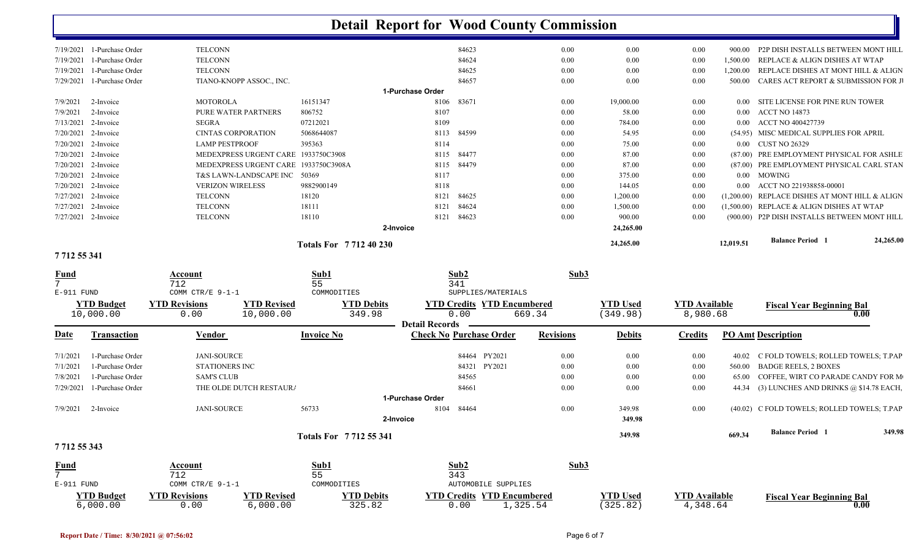|              | $7/19/2021$ 1-Purchase Order | <b>TELCONN</b>                                                 |                             |                       | 84623                                                    | 0.00             | 0.00            | 0.00                 | 900.00    | P2P DISH INSTALLS BETWEEN MONT HILL            |        |
|--------------|------------------------------|----------------------------------------------------------------|-----------------------------|-----------------------|----------------------------------------------------------|------------------|-----------------|----------------------|-----------|------------------------------------------------|--------|
| 7/19/2021    | 1-Purchase Order             | <b>TELCONN</b>                                                 |                             |                       | 84624                                                    | 0.00             | 0.00            | 0.00                 | 1,500.00  | REPLACE & ALIGN DISHES AT WTAP                 |        |
| 7/19/2021    | 1-Purchase Order             | <b>TELCONN</b>                                                 |                             |                       | 84625                                                    | 0.00             | 0.00            | 0.00                 | 1,200.00  | REPLACE DISHES AT MONT HILL & ALIGN            |        |
| 7/29/2021    | 1-Purchase Order             | TIANO-KNOPP ASSOC., INC.                                       |                             |                       | 84657                                                    | 0.00             | 0.00            | 0.00                 | 500.00    | CARES ACT REPORT & SUBMISSION FOR J            |        |
|              |                              |                                                                |                             | 1-Purchase Order      |                                                          |                  |                 |                      |           |                                                |        |
| 7/9/2021     | 2-Invoice                    | <b>MOTOROLA</b>                                                | 16151347                    | 8106                  | 83671                                                    | 0.00             | 19,000.00       | 0.00                 | $0.00\,$  | SITE LICENSE FOR PINE RUN TOWER                |        |
| 7/9/2021     | 2-Invoice                    | PURE WATER PARTNERS                                            | 806752                      | 8107                  |                                                          | 0.00             | 58.00           | 0.00                 | 0.00      | <b>ACCT NO 14873</b>                           |        |
| 7/13/2021    | 2-Invoice                    | <b>SEGRA</b>                                                   | 07212021                    | 8109                  |                                                          | 0.00             | 784.00          | 0.00                 | $0.00\,$  | ACCT NO 400427739                              |        |
| 7/20/2021    | 2-Invoice                    | <b>CINTAS CORPORATION</b>                                      | 5068644087                  | 8113                  | 84599                                                    | 0.00             | 54.95           | 0.00                 |           | (54.95) MISC MEDICAL SUPPLIES FOR APRIL        |        |
| 7/20/2021    | 2-Invoice                    | <b>LAMP PESTPROOF</b>                                          | 395363                      | 8114                  |                                                          | 0.00             | 75.00           | 0.00                 |           | 0.00 CUST NO 26329                             |        |
| 7/20/2021    | 2-Invoice                    | MEDEXPRESS URGENT CARE 1933750C3908                            |                             | 8115                  | 84477                                                    | 0.00             | 87.00           | 0.00                 |           | (87.00) PRE EMPLOYMENT PHYSICAL FOR ASHLE      |        |
| 7/20/2021    | 2-Invoice                    | MEDEXPRESS URGENT CARE 1933750C3908A                           |                             | 8115                  | 84479                                                    | 0.00             | 87.00           | 0.00                 |           | (87.00) PRE EMPLOYMENT PHYSICAL CARL STAN      |        |
| 7/20/2021    | 2-Invoice                    | T&S LAWN-LANDSCAPE INC                                         | 50369                       | 8117                  |                                                          | 0.00             | 375.00          | 0.00                 | $0.00\,$  | MOWING                                         |        |
| 7/20/2021    | 2-Invoice                    | <b>VERIZON WIRELESS</b>                                        | 9882900149                  | 8118                  |                                                          | 0.00             | 144.05          | 0.00                 | $0.00\,$  | ACCT NO 221938858-00001                        |        |
| 7/27/2021    | 2-Invoice                    | <b>TELCONN</b>                                                 | 18120                       | 8121                  | 84625                                                    | 0.00             | 1,200.00        | 0.00                 |           | (1,200.00) REPLACE DISHES AT MONT HILL & ALIGN |        |
| 7/27/2021    | 2-Invoice                    | <b>TELCONN</b>                                                 | 18111                       | 8121                  | 84624                                                    | 0.00             | 1,500.00        | 0.00                 |           | (1,500.00) REPLACE & ALIGN DISHES AT WTAP      |        |
|              | 7/27/2021 2-Invoice          | <b>TELCONN</b>                                                 | 18110                       | 8121                  | 84623                                                    | 0.00             | 900.00          | 0.00                 |           | (900.00) P2P DISH INSTALLS BETWEEN MONT HILL   |        |
|              |                              |                                                                |                             | 2-Invoice             |                                                          |                  | 24,265.00       |                      |           |                                                |        |
|              |                              |                                                                | <b>Totals For 771240230</b> |                       |                                                          |                  | 24,265.00       |                      | 12,019.51 | <b>Balance Period 1</b><br>24,265.00           |        |
| 7712 55 341  |                              |                                                                |                             |                       |                                                          |                  |                 |                      |           |                                                |        |
| <u>Fund</u>  |                              | Account                                                        | Sub1                        |                       | Sub2                                                     | Sub3             |                 |                      |           |                                                |        |
| 7            |                              | 712                                                            | 55                          |                       | 341                                                      |                  |                 |                      |           |                                                |        |
| $E-911$ FUND |                              | COMM CTR/E 9-1-1                                               | COMMODITIES                 |                       | SUPPLIES/MATERIALS                                       |                  |                 |                      |           |                                                |        |
|              | <b>YTD</b> Budget            | <b>YTD Revisions</b><br><b>YTD Revised</b>                     |                             | <b>YTD Debits</b>     | <b>YTD Credits YTD Encumbered</b>                        |                  | <b>YTD Used</b> | <b>YTD Available</b> |           | <b>Fiscal Year Beginning Bal</b>               |        |
|              | 10,000.00                    | 10,000.00<br>0.00                                              |                             | 349.98                | 0.00                                                     | 669.34           | (349.98)        | 8,980.68             |           | 0.00                                           |        |
|              |                              |                                                                |                             | <b>Detail Records</b> |                                                          |                  |                 |                      |           |                                                |        |
| Date         | Transaction                  | Vendor                                                         | Invoice No                  |                       | <b>Check No Purchase Order</b>                           | <b>Revisions</b> | <b>Debits</b>   | <b>Credits</b>       |           | <b>PO Amt Description</b>                      |        |
| 7/1/2021     | 1-Purchase Order             | <b>JANI-SOURCE</b>                                             |                             |                       | PY2021<br>84464                                          | 0.00             | 0.00            | 0.00                 | 40.02     | C FOLD TOWELS; ROLLED TOWELS; T.PAP            |        |
| 7/1/2021     | 1-Purchase Order             | <b>STATIONERS INC</b>                                          |                             |                       | PY2021<br>84321                                          | 0.00             | 0.00            | 0.00                 | 560.00    | <b>BADGE REELS, 2 BOXES</b>                    |        |
| 7/8/2021     | 1-Purchase Order             | <b>SAM'S CLUB</b>                                              |                             |                       | 84565                                                    | 0.00             | 0.00            | 0.00                 | 65.00     | COFFEE, WIRT CO PARADE CANDY FOR M             |        |
| 7/29/2021    | 1-Purchase Order             | THE OLDE DUTCH RESTAURA                                        |                             |                       | 84661                                                    | 0.00             | 0.00            | 0.00                 |           | 44.34 (3) LUNCHES AND DRINKS @ \$14.78 EACH,   |        |
|              |                              |                                                                |                             | 1-Purchase Order      |                                                          |                  |                 |                      |           |                                                |        |
| 7/9/2021     | 2-Invoice                    | <b>JANI-SOURCE</b>                                             | 56733                       | 8104                  | 84464                                                    | 0.00             | 349.98          | 0.00                 |           | (40.02) C FOLD TOWELS; ROLLED TOWELS; T.PAP    |        |
|              |                              |                                                                |                             | 2-Invoice             |                                                          |                  | 349.98          |                      |           |                                                |        |
|              |                              |                                                                | <b>Totals For 771255341</b> |                       |                                                          |                  | 349.98          |                      | 669.34    | <b>Balance Period 1</b>                        | 349.98 |
|              |                              |                                                                |                             |                       |                                                          |                  |                 |                      |           |                                                |        |
|              | 7 712 55 343                 |                                                                |                             |                       |                                                          |                  |                 |                      |           |                                                |        |
| Fund         |                              | Account                                                        | Sub1                        |                       | Sub2                                                     | Sub3             |                 |                      |           |                                                |        |
|              |                              | 712                                                            | 55                          |                       | 343                                                      |                  |                 |                      |           |                                                |        |
| E-911 FUND   | <b>YTD Budget</b>            | COMM CTR/E 9-1-1<br><b>YTD Revisions</b><br><b>YTD Revised</b> | COMMODITIES                 | <b>YTD Debits</b>     | AUTOMOBILE SUPPLIES<br><b>YTD Credits YTD Encumbered</b> |                  | <b>YTD Used</b> | <b>YTD Available</b> |           |                                                |        |

Ш